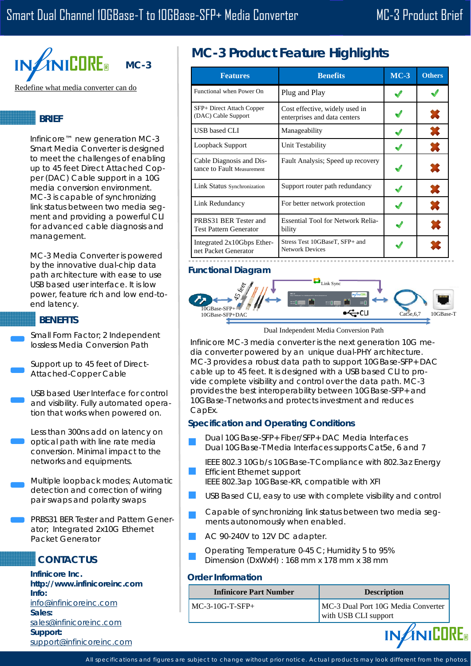

## **BRIEF**

Infinicore™ new generation MC-3 Smart Media Converter is designed to meet the challenges of enabling up to 45 feet Direct Attached Copper (DAC) Cable support in a 10G media conversion environment. MC-3 is capable of synchronizing link status between two media segment and providing a powerful CLI for advanced cable diagnosis and management.

MC-3 Media Converter is powered by the innovative dual-chip data path architecture with ease to use USB based user interface. It is low power, feature rich and low end-toend latency.

## **BENEFITS**

Small Form Factor; 2 Independent lossless Media Conversion Path

Support up to 45 feet of Direct-Attached-Copper Cable

USB based User Interface for control and visibility. Fully automated operation that works when powered on.

Less than 300ns add on latency on optical path with line rate media conversion. Minimal impact to the networks and equipments.

Multiple loopback modes; Automatic detection and correction of wiring pair swaps and polarity swaps

PRBS31 BER Tester and Pattern Generator; Integrated 2x10G Ethernet Packet Generator

# **CONTACT US**

**Infinicore Inc. http://www.infinicoreinc.com Info:**  info@infinicoreinc.com **Sales:**  sales@infinicoreinc.com **Support:**  support@infinicoreinc.com

# **MC-3 Product Feature Highlights**

| <b>Features</b>                                        | <b>Benefits</b>                                                | $MC-3$ | <b>Others</b> |
|--------------------------------------------------------|----------------------------------------------------------------|--------|---------------|
| Functional when Power On                               | Plug and Play                                                  |        |               |
| SFP+ Direct Attach Copper<br>(DAC) Cable Support       | Cost effective, widely used in<br>enterprises and data centers |        | 36            |
| USB based CLI                                          | Manageability                                                  |        | X             |
| Loopback Support                                       | Unit Testability                                               |        | X             |
| Cable Diagnosis and Dis-<br>tance to Fault Measurement | Fault Analysis; Speed up recovery                              |        | ж             |
| Link Status Synchronization                            | Support router path redundancy                                 |        |               |
| Link Redundancy                                        | For better network protection                                  |        |               |
| PRBS31 BER Tester and<br><b>Test Pattern Generator</b> | <b>Essential Tool for Network Relia-</b><br>bility             |        |               |
| Integrated 2x10Gbps Ether-<br>net Packet Generator     | Stress Test 10GBaseT, SFP+ and<br><b>Network Devices</b>       |        |               |

## **Functional Diagram**



#### Dual Independent Media Conversion Path

Infinicore MC-3 media converter is the next generation 10G media converter powered by an unique dual-PHY architecture. MC-3 provides a robust data path to support 10GBase-SFP+ DAC cable up to 45 feet. It is designed with a USB based CLI to provide complete visibility and control over the data path. MC-3 provides the best interoperability between 10GBase-SFP+ and 10GBase-T networks and protects investment and reduces CapEx.

### **Specification and Operating Conditions**

- Dual 10GBase-SFP+ Fiber/SFP+ DAC Media Interfaces Dual 10GBase-T Media Interfaces supports Cat5e, 6 and 7
- IEEE 802.3 10Gb/s 10GBase-T Compliance with 802.3az Energy Efficient Ethernet support
- IEEE 802.3ap 10GBase-KR, compatible with XFI
- USB Based CLI, easy to use with complete visibility and control
- Capable of synchronizing link status between two media segments autonomously when enabled.
- AC 90-240V to 12V DC adapter.
- Operating Temperature 0-45 C; Humidity 5 to 95% Dimension (DxWxH) : 168 mm x 178 mm x 38 mm

### **Order Information**

| Infinicore Part Number | <b>Description</b>                                         |
|------------------------|------------------------------------------------------------|
| $MC-3-10G-T-SFP+$      | MC-3 Dual Port 10G Media Converter<br>with USB CLI support |



All specifications and figures are subject to change without prior notice. Actual products may look different from the photos